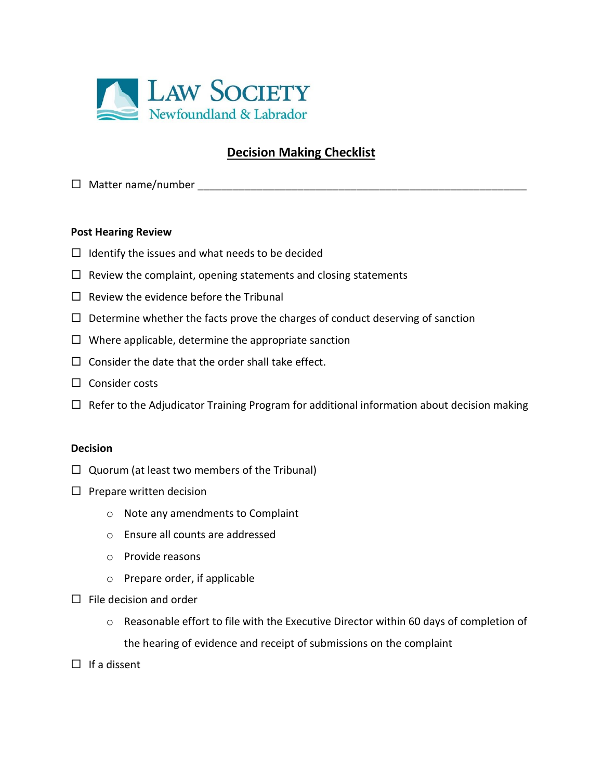

## **Decision Making Checklist**

Matter name/number \_\_\_\_\_\_\_\_\_\_\_\_\_\_\_\_\_\_\_\_\_\_\_\_\_\_\_\_\_\_\_\_\_\_\_\_\_\_\_\_\_\_\_\_\_\_\_\_\_\_\_\_\_\_\_\_

## **Post Hearing Review**

- $\Box$  Identify the issues and what needs to be decided
- $\Box$  Review the complaint, opening statements and closing statements
- $\Box$  Review the evidence before the Tribunal
- $\Box$  Determine whether the facts prove the charges of conduct deserving of sanction
- $\Box$  Where applicable, determine the appropriate sanction
- $\square$  Consider the date that the order shall take effect.
- $\Box$  Consider costs
- $\Box$  Refer to the Adjudicator Training Program for additional information about decision making

## **Decision**

- $\Box$  Quorum (at least two members of the Tribunal)
- $\Box$  Prepare written decision
	- o Note any amendments to Complaint
	- o Ensure all counts are addressed
	- o Provide reasons
	- o Prepare order, if applicable
- $\Box$  File decision and order
	- $\circ$  Reasonable effort to file with the Executive Director within 60 days of completion of the hearing of evidence and receipt of submissions on the complaint
- $\Box$  If a dissent